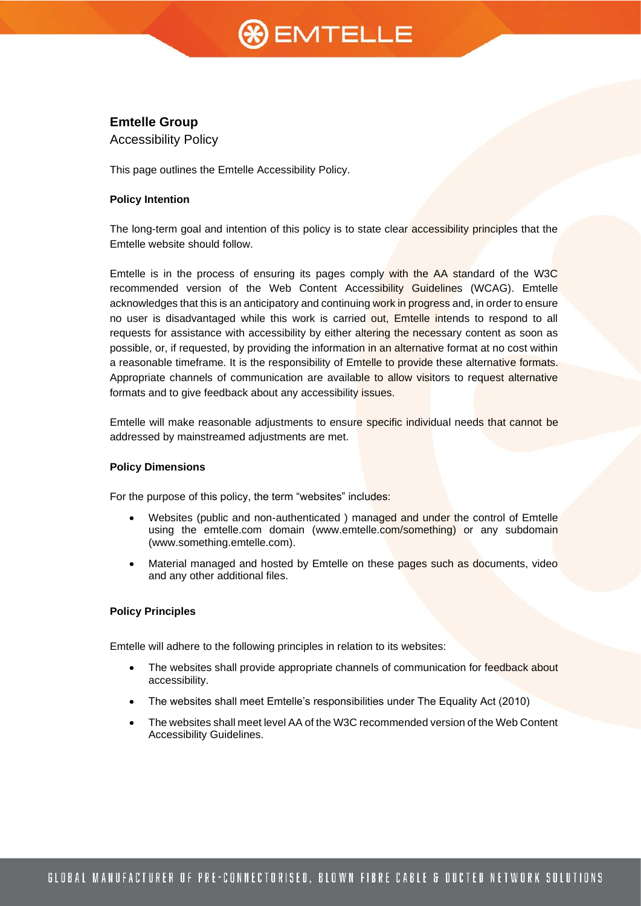# **%)** EMTELLE

# **Emtelle Group**

Accessibility Policy

This page outlines the Emtelle Accessibility Policy.

## **Policy Intention**

The long-term goal and intention of this policy is to state clear accessibility principles that the Emtelle website should follow.

Emtelle is in the process of ensuring its pages comply with the AA standard of the W3C recommended version of the Web Content Accessibility Guidelines (WCAG). Emtelle acknowledges that this is an anticipatory and continuing work in progress and, in order to ensure no user is disadvantaged while this work is carried out, Emtelle intends to respond to all requests for assistance with accessibility by either altering the necessary content as soon as possible, or, if requested, by providing the information in an alternative format at no cost within a reasonable timeframe. It is the responsibility of Emtelle to provide these alternative formats. Appropriate channels of communication are available to allow visitors to request alternative formats and to give feedback about any accessibility issues.

Emtelle will make reasonable adjustments to ensure specific individual needs that cannot be addressed by mainstreamed adjustments are met.

#### **Policy Dimensions**

For the purpose of this policy, the term "websites" includes:

- Websites (public and non-authenticated ) managed and under the control of Emtelle using the emtelle.com domain [\(www.emtelle.com/something\)](http://www.emtelle.com/something) or any subdomain [\(www.something.emtelle.com\)](http://www.something.emtelle.com/).
- Material managed and hosted by Emtelle on these pages such as documents, video and any other additional files.

#### **Policy Principles**

Emtelle will adhere to the following principles in relation to its websites:

- The websites shall provide appropriate channels of communication for feedback about accessibility.
- The websites shall meet Emtelle's responsibilities under The Equality Act (2010)
- The websites shall meet level AA of the W3C recommended version of the Web Content Accessibility Guidelines.